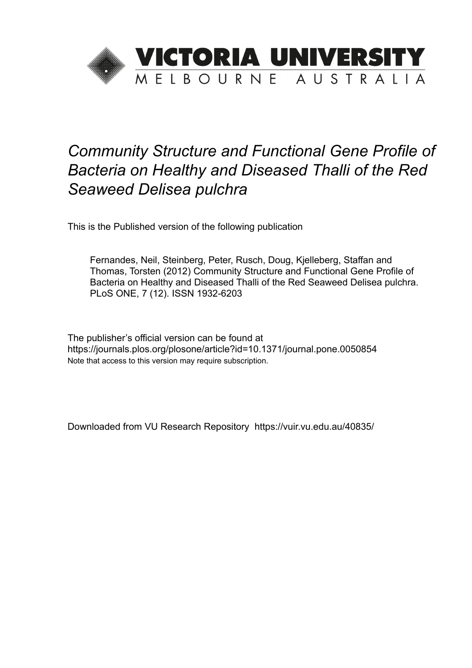

# *Community Structure and Functional Gene Profile of Bacteria on Healthy and Diseased Thalli of the Red Seaweed Delisea pulchra*

This is the Published version of the following publication

Fernandes, Neil, Steinberg, Peter, Rusch, Doug, Kjelleberg, Staffan and Thomas, Torsten (2012) Community Structure and Functional Gene Profile of Bacteria on Healthy and Diseased Thalli of the Red Seaweed Delisea pulchra. PLoS ONE, 7 (12). ISSN 1932-6203

The publisher's official version can be found at https://journals.plos.org/plosone/article?id=10.1371/journal.pone.0050854 Note that access to this version may require subscription.

Downloaded from VU Research Repository https://vuir.vu.edu.au/40835/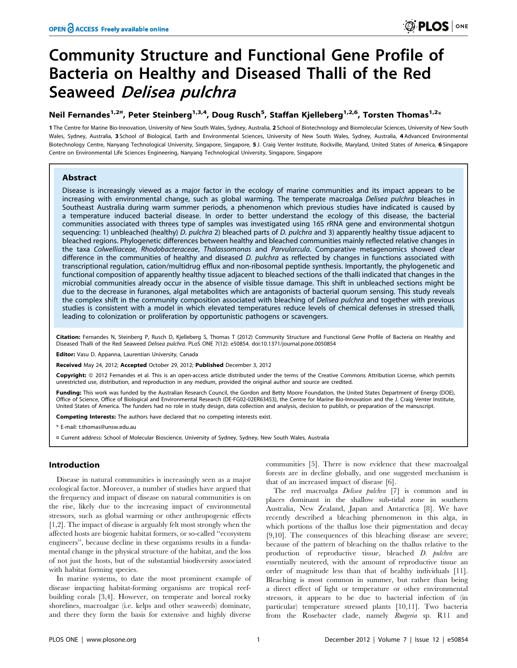## Community Structure and Functional Gene Profile of Bacteria on Healthy and Diseased Thalli of the Red Seaweed Delisea pulchra

### Neil Fernandes<sup>1,2¤</sup>, Peter Steinberg<sup>1,3,4</sup>, Doug Rusch<sup>5</sup>, Staffan Kjelleberg<sup>1,2,6</sup>, Torsten Thomas<sup>1,2</sup>\*

1 The Centre for Marine Bio-Innovation, University of New South Wales, Sydney, Australia, 2 School of Biotechnology and Biomolecular Sciences, University of New South Wales, Sydney, Australia, 3 School of Biological, Earth and Environmental Sciences, University of New South Wales, Sydney, Australia, 4 Advanced Environmental Biotechnology Centre, Nanyang Technological University, Singapore, Singapore, 5J. Craig Venter Institute, Rockville, Maryland, United States of America, 6 Singapore Centre on Environmental Life Sciences Engineering, Nanyang Technological University, Singapore, Singapore

#### Abstract

Disease is increasingly viewed as a major factor in the ecology of marine communities and its impact appears to be increasing with environmental change, such as global warming. The temperate macroalga Delisea pulchra bleaches in Southeast Australia during warm summer periods, a phenomenon which previous studies have indicated is caused by a temperature induced bacterial disease. In order to better understand the ecology of this disease, the bacterial communities associated with threes type of samples was investigated using 16S rRNA gene and environmental shotgun sequencing: 1) unbleached (healthy) D. pulchra 2) bleached parts of D. pulchra and 3) apparently healthy tissue adjacent to bleached regions. Phylogenetic differences between healthy and bleached communities mainly reflected relative changes in the taxa Colwelliaceae, Rhodobacteraceae, Thalassomonas and Parvularcula. Comparative metagenomics showed clear difference in the communities of healthy and diseased D. pulchra as reflected by changes in functions associated with transcriptional regulation, cation/multidrug efflux and non-ribosomal peptide synthesis. Importantly, the phylogenetic and functional composition of apparently healthy tissue adjacent to bleached sections of the thalli indicated that changes in the microbial communities already occur in the absence of visible tissue damage. This shift in unbleached sections might be due to the decrease in furanones, algal metabolites which are antagonists of bacterial quorum sensing. This study reveals the complex shift in the community composition associated with bleaching of Delisea pulchra and together with previous studies is consistent with a model in which elevated temperatures reduce levels of chemical defenses in stressed thalli, leading to colonization or proliferation by opportunistic pathogens or scavengers.

Citation: Fernandes N, Steinberg P, Rusch D, Kjelleberg S, Thomas T (2012) Community Structure and Functional Gene Profile of Bacteria on Healthy and Diseased Thalli of the Red Seaweed Delisea pulchra. PLoS ONE 7(12): e50854. doi:10.1371/journal.pone.0050854

Editor: Vasu D. Appanna, Laurentian University, Canada

Received May 24, 2012; Accepted October 29, 2012; Published December 3, 2012

Copyright: @ 2012 Fernandes et al. This is an open-access article distributed under the terms of the Creative Commons Attribution License, which permits unrestricted use, distribution, and reproduction in any medium, provided the original author and source are credited.

Funding: This work was funded by the Australian Research Council, the Gordon and Betty Moore Foundation, the United States Department of Energy (DOE), Office of Science, Office of Biological and Environmental Research (DE-FG02-02ER63453), the Centre for Marine Bio-Innovation and the J. Craig Venter Institute, United States of America. The funders had no role in study design, data collection and analysis, decision to publish, or preparation of the manuscript.

Competing Interests: The authors have declared that no competing interests exist.

\* E-mail: t.thomas@unsw.edu.au

¤ Current address: School of Molecular Bioscience, University of Sydney, Sydney, New South Wales, Australia

#### Introduction

Disease in natural communities is increasingly seen as a major ecological factor. Moreover, a number of studies have argued that the frequency and impact of disease on natural communities is on the rise, likely due to the increasing impact of environmental stressors, such as global warming or other anthropogenic effects [1,2]. The impact of disease is arguably felt most strongly when the affected hosts are biogenic habitat formers, or so-called ''ecosystem engineers'', because decline in these organisms results in a fundamental change in the physical structure of the habitat, and the loss of not just the hosts, but of the substantial biodiversity associated with habitat forming species.

In marine systems, to date the most prominent example of disease impacting habitat-forming organisms are tropical reefbuilding corals [3,4]. However, on temperate and boreal rocky shorelines, macroalgae (i.e. kelps and other seaweeds) dominate, and there they form the basis for extensive and highly diverse

communities [5]. There is now evidence that these macroalgal forests are in decline globally, and one suggested mechanism is that of an increased impact of disease [6].

The red macroalga *Delisea pulchra* [7] is common and in places dominant in the shallow sub-tidal zone in southern Australia, New Zealand, Japan and Antarctica [8]. We have recently described a bleaching phenomenon in this alga, in which portions of the thallus lose their pigmentation and decay [9,10]. The consequences of this bleaching disease are severe; because of the pattern of bleaching on the thallus relative to the production of reproductive tissue, bleached D. pulchra are essentially neutered, with the amount of reproductive tissue an order of magnitude less than that of healthy individuals [11]. Bleaching is most common in summer, but rather than being a direct effect of light or temperature or other environmental stressors, it appears to be due to bacterial infection of (in particular) temperature stressed plants [10,11]. Two bacteria from the Rosebacter clade, namely Ruegeria sp. R11 and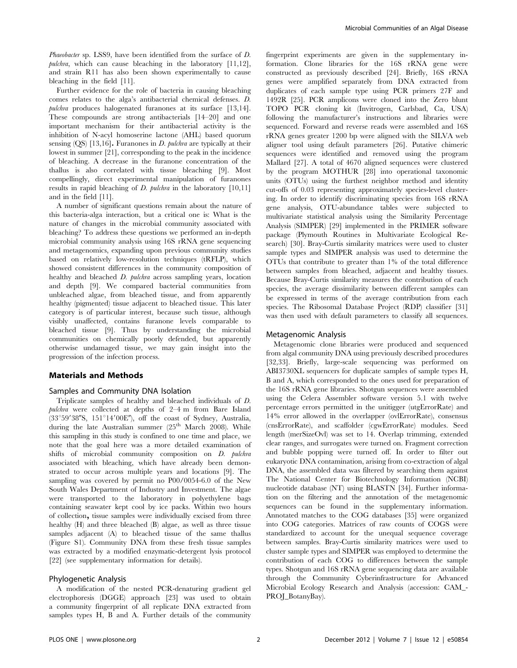Phaeobacter sp. LSS9, have been identified from the surface of D. pulchra, which can cause bleaching in the laboratory [11,12], and strain R11 has also been shown experimentally to cause bleaching in the field [11].

Further evidence for the role of bacteria in causing bleaching comes relates to the alga's antibacterial chemical defenses. D. pulchra produces halogenated furanones at its surface [13,14]. These compounds are strong antibacterials [14–20] and one important mechanism for their antibacterial activity is the inhibition of N-acyl homoserine lactone (AHL) based quorum sensing  $(QS)$  [13,16]. Furanones in *D. pulchra* are typically at their lowest in summer [21], corresponding to the peak in the incidence of bleaching. A decrease in the furanone concentration of the thallus is also correlated with tissue bleaching [9]. Most compellingly, direct experimental manipulation of furanones results in rapid bleaching of  $D$ . pulchra in the laboratory  $[10,11]$ and in the field [11].

A number of significant questions remain about the nature of this bacteria-alga interaction, but a critical one is: What is the nature of changes in the microbial community associated with bleaching? To address these questions we performed an in-depth microbial community analysis using 16S rRNA gene sequencing and metagenomics, expanding upon previous community studies based on relatively low-resolution techniques (tRFLP), which showed consistent differences in the community composition of healthy and bleached D. pulchra across sampling years, location and depth [9]. We compared bacterial communities from unbleached algae, from bleached tissue, and from apparently healthy (pigmented) tissue adjacent to bleached tissue. This later category is of particular interest, because such tissue, although visibly unaffected, contains furanone levels comparable to bleached tissue [9]. Thus by understanding the microbial communities on chemically poorly defended, but apparently otherwise undamaged tissue, we may gain insight into the progression of the infection process.

#### Materials and Methods

#### Samples and Community DNA Isolation

Triplicate samples of healthy and bleached individuals of D. pulchra were collected at depths of 2–4 m from Bare Island  $(33°59'38''S, 151°14'00E'')$ , off the coast of Sydney, Australia, during the late Australian summer (25<sup>th</sup> March 2008). While this sampling in this study is confined to one time and place, we note that the goal here was a more detailed examination of shifts of microbial community composition on D. pulchra associated with bleaching, which have already been demonstrated to occur across multiple years and locations [9]. The sampling was covered by permit no P00/0054-6.0 of the New South Wales Department of Industry and Investment. The algae were transported to the laboratory in polyethylene bags containing seawater kept cool by ice packs. Within two hours of collection, tissue samples were individually excised from three healthy (H) and three bleached (B) algae, as well as three tissue samples adjacent (A) to bleached tissue of the same thallus (Figure S1). Community DNA from these fresh tissue samples was extracted by a modified enzymatic-detergent lysis protocol [22] (see supplementary information for details).

#### Phylogenetic Analysis

A modification of the nested PCR-denaturing gradient gel electrophoresis (DGGE) approach [23] was used to obtain a community fingerprint of all replicate DNA extracted from samples types H, B and A. Further details of the community fingerprint experiments are given in the supplementary information. Clone libraries for the 16S rRNA gene were constructed as previously described [24]. Briefly, 16S rRNA genes were amplified separately from DNA extracted from duplicates of each sample type using PCR primers 27F and 1492R [25]. PCR amplicons were cloned into the Zero blunt TOPO PCR cloning kit (Invitrogen, Carlsbad, Ca, USA) following the manufacturer's instructions and libraries were sequenced. Forward and reverse reads were assembled and 16S rRNA genes greater 1200 bp were aligned with the SILVA web aligner tool using default parameters [26]. Putative chimeric sequences were identified and removed using the program Mallard [27]. A total of 4670 aligned sequences were clustered by the program MOTHUR [28] into operational taxonomic units (OTUs) using the furthest neighbor method and identity cut-offs of 0.03 representing approximately species-level clustering. In order to identify discriminating species from 16S rRNA gene analysis, OTU-abundance tables were subjected to multivariate statistical analysis using the Similarity Percentage Analysis (SIMPER) [29] implemented in the PRIMER software package (Plymouth Routines in Multivariate Ecological Research) [30]. Bray-Curtis similarity matrices were used to cluster sample types and SIMPER analysis was used to determine the OTUs that contribute to greater than 1% of the total difference between samples from bleached, adjacent and healthy tissues. Because Bray-Curtis similarity measures the contribution of each species, the average dissimilarity between different samples can be expressed in terms of the average contribution from each species. The Ribosomal Database Project (RDP) classifier [31] was then used with default parameters to classify all sequences.

#### Metagenomic Analysis

Metagenomic clone libraries were produced and sequenced from algal community DNA using previously described procedures [32,33]. Briefly, large-scale sequencing was performed on ABI3730XL sequencers for duplicate samples of sample types H, B and A, which corresponded to the ones used for preparation of the 16S rRNA gene libraries. Shotgun sequences were assembled using the Celera Assembler software version 5.1 with twelve percentage errors permitted in the unitigger (utgErrorRate) and 14% error allowed in the overlapper (ovlErrorRate), consensus (cnsErrorRate), and scaffolder (cgwErrorRate) modules. Seed length (merSizeOvl) was set to 14. Overlap trimming, extended clear ranges, and surrogates were turned on. Fragment correction and bubble popping were turned off. In order to filter out eukaryotic DNA contamination, arising from co-extraction of algal DNA, the assembled data was filtered by searching them against The National Center for Biotechnology Information (NCBI) nucleotide database (NT) using BLASTN [34]. Further information on the filtering and the annotation of the metagenomic sequences can be found in the supplementary information. Annotated matches to the COG databases [35] were organized into COG categories. Matrices of raw counts of COGS were standardized to account for the unequal sequence coverage between samples. Bray-Curtis similarity matrices were used to cluster sample types and SIMPER was employed to determine the contribution of each COG to differences between the sample types. Shotgun and 16S rRNA gene sequencing data are available through the Community Cyberinfrastructure for Advanced Microbial Ecology Research and Analysis (accession: CAM\_- PROJ\_BotanyBay).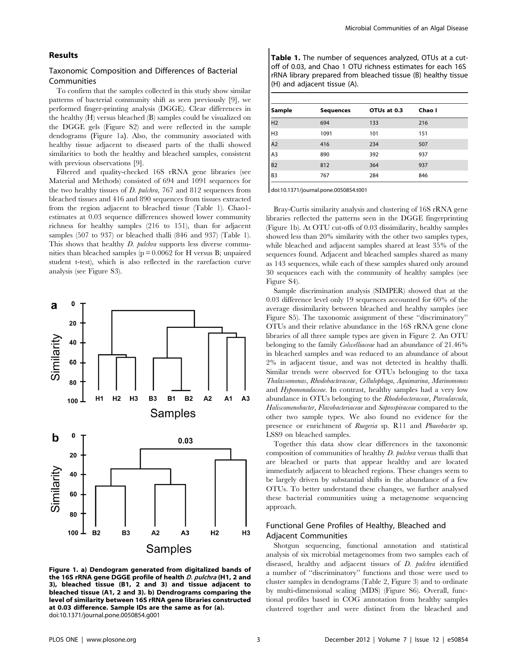#### Results

#### Taxonomic Composition and Differences of Bacterial Communities

To confirm that the samples collected in this study show similar patterns of bacterial community shift as seen previously [9], we performed finger-printing analysis (DGGE). Clear differences in the healthy (H) versus bleached (B) samples could be visualized on the DGGE gels (Figure S2) and were reflected in the sample dendograms (Figure 1a). Also, the community associated with healthy tissue adjacent to diseased parts of the thalli showed similarities to both the healthy and bleached samples, consistent with previous observations [9].

Filtered and quality-checked 16S rRNA gene libraries (see Material and Methods) consisted of 694 and 1091 sequences for the two healthy tissues of D. pulchra, 767 and 812 sequences from bleached tissues and 416 and 890 sequences from tissues extracted from the region adjacent to bleached tissue (Table 1). Chao1 estimates at 0.03 sequence differences showed lower community richness for healthy samples (216 to 151), than for adjacent samples (507 to 937) or bleached thalli (846 and 937) (Table 1). This shows that healthy D. pulchra supports less diverse communities than bleached samples ( $p = 0.0062$  for H versus B; unpaired student t-test), which is also reflected in the rarefaction curve analysis (see Figure S3).



Figure 1. a) Dendogram generated from digitalized bands of the 16S rRNA gene DGGE profile of health D. pulchra (H1, 2 and 3), bleached tissue (B1, 2 and 3) and tissue adjacent to bleached tissue (A1, 2 and 3). b) Dendrograms comparing the level of similarity between 16S rRNA gene libraries constructed at 0.03 difference. Sample IDs are the same as for (a). doi:10.1371/journal.pone.0050854.g001

Table 1. The number of sequences analyzed, OTUs at a cutoff of 0.03, and Chao 1 OTU richness estimates for each 16S rRNA library prepared from bleached tissue (B) healthy tissue (H) and adjacent tissue (A).

| Sample         | <b>Sequences</b> | OTUs at 0.3 | Chao I |
|----------------|------------------|-------------|--------|
| H <sub>2</sub> | 694              | 133         | 216    |
| H <sub>3</sub> | 1091             | 101         | 151    |
| A <sub>2</sub> | 416              | 234         | 507    |
| A3             | 890              | 392         | 937    |
| B <sub>2</sub> | 812              | 364         | 937    |
| B <sub>3</sub> | 767              | 284         | 846    |

doi:10.1371/journal.pone.0050854.t001

Bray-Curtis similarity analysis and clustering of 16S rRNA gene libraries reflected the patterns seen in the DGGE fingerprinting (Figure 1b). At OTU cut-offs of 0.03 dissimilarity, healthy samples showed less than 20% similarity with the other two samples types, while bleached and adjacent samples shared at least 35% of the sequences found. Adjacent and bleached samples shared as many as 143 sequences, while each of these samples shared only around 30 sequences each with the community of healthy samples (see Figure S4).

Sample discrimination analysis (SIMPER) showed that at the 0.03 difference level only 19 sequences accounted for 60% of the average dissimilarity between bleached and healthy samples (see Figure S5). The taxonomic assignment of these ''discriminatory'' OTUs and their relative abundance in the 16S rRNA gene clone libraries of all three sample types are given in Figure 2. An OTU belonging to the family Colwelliaceae had an abundance of 21.46% in bleached samples and was reduced to an abundance of about 2% in adjacent tissue, and was not detected in healthy thalli. Similar trends were observed for OTUs belonging to the taxa Thalassomonas, Rhodobacteraceae, Cellulophaga, Aquimarina, Marinomonas and Hypomonadaceae. In contrast, healthy samples had a very low abundance in OTUs belonging to the Rhodobacteraceae, Parvularcula, Haliscomenobacter, Flavobacteriaceae and Saprospiraceae compared to the other two sample types. We also found no evidence for the presence or enrichment of Ruegeria sp. R11 and Phaeobacter sp. LSS9 on bleached samples.

Together this data show clear differences in the taxonomic composition of communities of healthy D. pulchra versus thalli that are bleached or parts that appear healthy and are located immediately adjacent to bleached regions. These changes seem to be largely driven by substantial shifts in the abundance of a few OTUs. To better understand these changes, we further analysed these bacterial communities using a metagenome sequencing approach.

#### Functional Gene Profiles of Healthy, Bleached and Adjacent Communities

Shotgun sequencing, functional annotation and statistical analysis of six microbial metagenomes from two samples each of diseased, healthy and adjacent tissues of *D. pulchra* identified a number of ''discriminatory'' functions and those were used to cluster samples in dendograms (Table 2, Figure 3) and to ordinate by multi-dimensional scaling (MDS) (Figure S6). Overall, functional profiles based in COG annotation from healthy samples clustered together and were distinct from the bleached and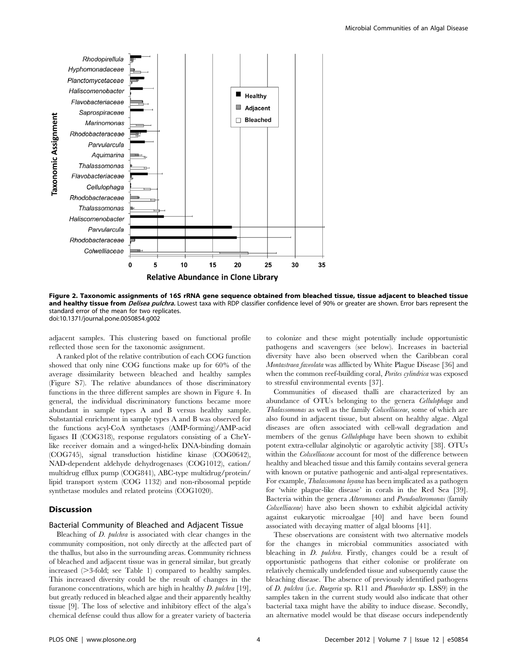

Figure 2. Taxonomic assignments of 16S rRNA gene sequence obtained from bleached tissue, tissue adjacent to bleached tissue and healthy tissue from Delisea pulchra. Lowest taxa with RDP classifier confidence level of 90% or greater are shown. Error bars represent the standard error of the mean for two replicates. doi:10.1371/journal.pone.0050854.g002

adjacent samples. This clustering based on functional profile reflected those seen for the taxonomic assignment.

A ranked plot of the relative contribution of each COG function showed that only nine COG functions make up for 60% of the average dissimilarity between bleached and healthy samples (Figure S7). The relative abundances of those discriminatory functions in the three different samples are shown in Figure 4. In general, the individual discriminatory functions became more abundant in sample types A and B versus healthy sample. Substantial enrichment in sample types A and B was observed for the functions acyl-CoA synthetases (AMP-forming)/AMP-acid ligases II (COG318), response regulators consisting of a CheYlike receiver domain and a winged-helix DNA-binding domain (COG745), signal transduction histidine kinase (COG0642), NAD-dependent aldehyde dehydrogenases (COG1012), cation/ multidrug efflux pump (COG841), ABC-type multidrug/protein/ lipid transport system (COG 1132) and non-ribosomal peptide synthetase modules and related proteins (COG1020).

#### Discussion

#### Bacterial Community of Bleached and Adjacent Tissue

Bleaching of *D. pulchra* is associated with clear changes in the community composition, not only directly at the affected part of the thallus, but also in the surrounding areas. Community richness of bleached and adjacent tissue was in general similar, but greatly increased  $($ >3-fold; see Table 1) compared to healthy samples. This increased diversity could be the result of changes in the furanone concentrations, which are high in healthy D. pulchra [19], but greatly reduced in bleached algae and their apparently healthy tissue [9]. The loss of selective and inhibitory effect of the alga's chemical defense could thus allow for a greater variety of bacteria

to colonize and these might potentially include opportunistic pathogens and scavengers (see below). Increases in bacterial diversity have also been observed when the Caribbean coral Montastraea faveolata was afflicted by White Plague Disease [36] and when the common reef-building coral, *Porites cylindrica* was exposed to stressful environmental events [37].

Communities of diseased thalli are characterized by an abundance of OTUs belonging to the genera Cellulophaga and Thalassomonas as well as the family Colwelliaceae, some of which are also found in adjacent tissue, but absent on healthy algae. Algal diseases are often associated with cell-wall degradation and members of the genus Cellulophaga have been shown to exhibit potent extra-cellular alginolytic or agarolytic activity [38]. OTUs within the Colwelliaceae account for most of the difference between healthy and bleached tissue and this family contains several genera with known or putative pathogenic and anti-algal representatives. For example, Thalassomona loyana has been implicated as a pathogen for 'white plague-like disease' in corals in the Red Sea [39]. Bacteria within the genera Alteromonas and Pseudoalteromonas (family Colwelliaceae) have also been shown to exhibit algicidal activity against eukaryotic microalgae [40] and have been found associated with decaying matter of algal blooms [41].

These observations are consistent with two alternative models for the changes in microbial communities associated with bleaching in D. pulchra. Firstly, changes could be a result of opportunistic pathogens that either colonise or proliferate on relatively chemically undefended tissue and subsequently cause the bleaching disease. The absence of previously identified pathogens of D. pulchra (i.e. Ruegeria sp. R11 and Phaeobacter sp. LSS9) in the samples taken in the current study would also indicate that other bacterial taxa might have the ability to induce disease. Secondly, an alternative model would be that disease occurs independently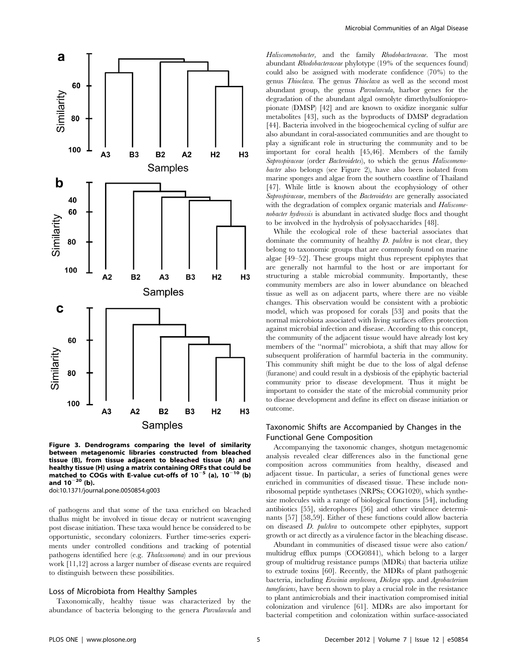

Figure 3. Dendrograms comparing the level of similarity between metagenomic libraries constructed from bleached tissue (B), from tissue adjacent to bleached tissue (A) and healthy tissue (H) using a matrix containing ORFs that could be matched to COGs with E-value cut-offs of  $10^{-5}$  (a),  $10^{-10}$  (b) and  $10^{-20}$  (b). doi:10.1371/journal.pone.0050854.g003

of pathogens and that some of the taxa enriched on bleached thallus might be involved in tissue decay or nutrient scavenging post disease initiation. These taxa would hence be considered to be opportunistic, secondary colonizers. Further time-series experiments under controlled conditions and tracking of potential pathogens identified here (e.g. Thalassomona) and in our previous work [11,12] across a larger number of disease events are required to distinguish between these possibilities.

#### Loss of Microbiota from Healthy Samples

Taxonomically, healthy tissue was characterized by the abundance of bacteria belonging to the genera Parvularcula and Haliscomenobacter, and the family Rhodobacteraceae. The most abundant Rhodobacteraceae phylotype (19% of the sequences found) could also be assigned with moderate confidence (70%) to the genus Thioclava. The genus Thioclava as well as the second most abundant group, the genus Parvularcula, harbor genes for the degradation of the abundant algal osmolyte dimethylsulfoniopropionate (DMSP) [42] and are known to oxidize inorganic sulfur metabolites [43], such as the byproducts of DMSP degradation [44]. Bacteria involved in the biogeochemical cycling of sulfur are also abundant in coral-associated communities and are thought to play a significant role in structuring the community and to be important for coral health [45,46]. Members of the family Saprospiraceae (order Bacteroidetes), to which the genus Haliscomenobacter also belongs (see Figure 2), have also been isolated from marine sponges and algae from the southern coastline of Thailand [47]. While little is known about the ecophysiology of other Saprospiraceae, members of the *Bacteroidetes* are generally associated with the degradation of complex organic materials and *Haliscome*nobacter hydrossis is abundant in activated sludge flocs and thought to be involved in the hydrolysis of polysaccharides [48].

While the ecological role of these bacterial associates that dominate the community of healthy D. pulchra is not clear, they belong to taxonomic groups that are commonly found on marine algae [49–52]. These groups might thus represent epiphytes that are generally not harmful to the host or are important for structuring a stable microbial community. Importantly, these community members are also in lower abundance on bleached tissue as well as on adjacent parts, where there are no visible changes. This observation would be consistent with a probiotic model, which was proposed for corals [53] and posits that the normal microbiota associated with living surfaces offers protection against microbial infection and disease. According to this concept, the community of the adjacent tissue would have already lost key members of the ''normal'' microbiota, a shift that may allow for subsequent proliferation of harmful bacteria in the community. This community shift might be due to the loss of algal defense (furanone) and could result in a dysbiosis of the epiphytic bacterial community prior to disease development. Thus it might be important to consider the state of the microbial community prior to disease development and define its effect on disease initiation or outcome.

#### Taxonomic Shifts are Accompanied by Changes in the Functional Gene Composition

Accompanying the taxonomic changes, shotgun metagenomic analysis revealed clear differences also in the functional gene composition across communities from healthy, diseased and adjacent tissue. In particular, a series of functional genes were enriched in communities of diseased tissue. These include nonribosomal peptide synthetases (NRPSs; COG1020), which synthesize molecules with a range of biological functions [54], including antibiotics [55], siderophores [56] and other virulence determinants [57] [58,59]. Either of these functions could allow bacteria on diseased D. pulchra to outcompete other epiphytes, support growth or act directly as a virulence factor in the bleaching disease.

Abundant in communities of diseased tissue were also cation/ multidrug efflux pumps (COG0841), which belong to a larger group of multidrug resistance pumps (MDRs) that bacteria utilize to extrude toxins [60]. Recently, the MDRs of plant pathogenic bacteria, including Erwinia amylovora, Dickeya spp. and Agrobacterium tumefaciens, have been shown to play a crucial role in the resistance to plant antimicrobials and their inactivation compromised initial colonization and virulence [61]. MDRs are also important for bacterial competition and colonization within surface-associated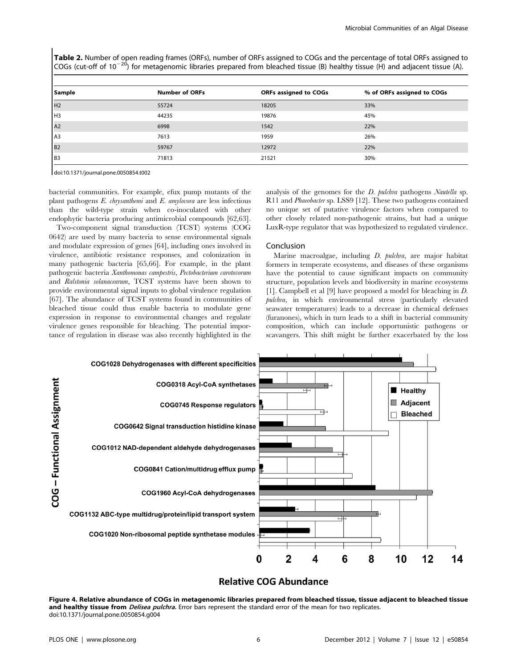Table 2. Number of open reading frames (ORFs), number of ORFs assigned to COGs and the percentage of total ORFs assigned to COGs (cut-off of 10<sup>-20</sup>) for metagenomic libraries prepared from bleached tissue (B) healthy tissue (H) and adjacent tissue (A).

| Sample         | <b>Number of ORFs</b> | <b>ORFs assigned to COGs</b> | % of ORFs assigned to COGs |
|----------------|-----------------------|------------------------------|----------------------------|
| H <sub>2</sub> | 55724                 | 18205                        | 33%                        |
| H <sub>3</sub> | 44235                 | 19876                        | 45%                        |
| A2             | 6998                  | 1542                         | 22%                        |
| A <sub>3</sub> | 7613                  | 1959                         | 26%                        |
| B <sub>2</sub> | 59767                 | 12972                        | 22%                        |
| B <sub>3</sub> | 71813                 | 21521                        | 30%                        |

doi:10.1371/journal.pone.0050854.t002

bacterial communities. For example, efux pump mutants of the plant pathogens E. chrysanthemi and E. amylovora are less infectious than the wild-type strain when co-inoculated with other endophytic bacteria producing antimicrobial compounds [62,63].

Two-component signal transduction (TCST) systems (COG 0642) are used by many bacteria to sense environmental signals and modulate expression of genes [64], including ones involved in virulence, antibiotic resistance responses, and colonization in many pathogenic bacteria [65,66]. For example, in the plant pathogenic bacteria Xanthomonas campestris, Pectobacterium carotovorum and Ralstonia solanacearum, TCST systems have been shown to provide environmental signal inputs to global virulence regulation [67]. The abundance of TCST systems found in communities of bleached tissue could thus enable bacteria to modulate gene expression in response to environmental changes and regulate virulence genes responsible for bleaching. The potential importance of regulation in disease was also recently highlighted in the

analysis of the genomes for the D. pulchra pathogens Nautella sp. R11 and Phaeobacter sp. LSS9 [12]. These two pathogens contained no unique set of putative virulence factors when compared to other closely related non-pathogenic strains, but had a unique LuxR-type regulator that was hypothesized to regulated virulence.

#### Conclusion

Marine macroalgae, including D. pulchra, are major habitat formers in temperate ecosystems, and diseases of these organisms have the potential to cause significant impacts on community structure, population levels and biodiversity in marine ecosystems [1]. Campbell et al [9] have proposed a model for bleaching in D. pulchra, in which environmental stress (particularly elevated seawater temperatures) leads to a decrease in chemical defenses (furanones), which in turn leads to a shift in bacterial community composition, which can include opportunistic pathogens or scavangers. This shift might be further exacerbated by the loss



#### **Relative COG Abundance**

Figure 4. Relative abundance of COGs in metagenomic libraries prepared from bleached tissue, tissue adjacent to bleached tissue and healthy tissue from *Delisea pulchra.* Error bars represent the standard error of the mean for two replicates. doi:10.1371/journal.pone.0050854.g004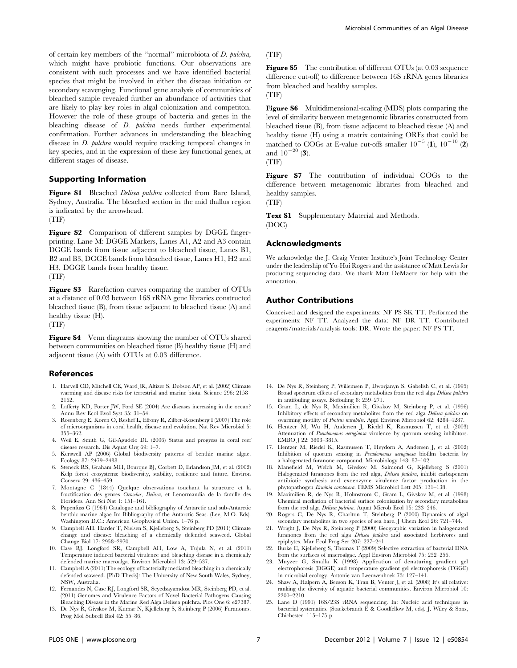of certain key members of the ''normal'' microbiota of D. pulchra, which might have probiotic functions. Our observations are consistent with such processes and we have identified bacterial species that might be involved in either the disease initiation or secondary scavenging. Functional gene analysis of communities of bleached sample revealed further an abundance of activities that are likely to play key roles in algal colonization and competiton. However the role of these groups of bacteria and genes in the bleaching disease of D. pulchra needs further experimental confirmation. Further advances in understanding the bleaching disease in D. pulchra would require tracking temporal changes in key species, and in the expression of these key functional genes, at different stages of disease.

#### Supporting Information

Figure S1 Bleached Delisea pulchra collected from Bare Island, Sydney, Australia. The bleached section in the mid thallus region is indicated by the arrowhead. (TIF)

Figure S2 Comparison of different samples by DGGE fingerprinting. Lane M: DGGE Markers, Lanes A1, A2 and A3 contain DGGE bands from tissue adjacent to bleached tissue, Lanes B1, B2 and B3, DGGE bands from bleached tissue, Lanes H1, H2 and H3, DGGE bands from healthy tissue. (TIF)

Figure S3 Rarefaction curves comparing the number of OTUs at a distance of 0.03 between 16S rRNA gene libraries constructed bleached tissue (B), from tissue adjacent to bleached tissue (A) and healthy tissue (H).

(TIF)

**Figure S4** Venn diagrams showing the number of OTUs shared between communities on bleached tissue (B) healthy tissue (H) and adjacent tissue (A) with OTUs at 0.03 difference.

#### References

- 1. Harvell CD, Mitchell CE, Ward JR, Altizer S, Dobson AP, et al. (2002) Climate warming and disease risks for terrestrial and marine biota. Science 296: 2158– 2162.
- 2. Lafferty KD, Porter JW, Ford SE (2004) Are diseases increasing in the ocean? Annu Rev Ecol Evol Syst 35: 31–54.
- 3. Rosenberg E, Koren O, Reshef L, Efrony R, Zilber-Rosenberg I (2007) The role of microorganisms in coral health, disease and evolution. Nat Rev Microbiol 5: 355–362.
- 4. Weil E, Smith G, Gil-Agudelo DL (2006) Status and progress in coral reef disease research. Dis Aquat Org 69: 1–7.
- 5. Kerswell AP (2006) Global biodiversity patterns of benthic marine algae. Ecology 87: 2479–2488.
- 6. Steneck RS, Graham MH, Bourque BJ, Corbett D, Erlandson JM, et al. (2002) Kelp forest ecosystems: biodiversity, stability, resilience and future. Environ Conserv 29: 436–459.
- 7. Montagne C (1844) Quelque observations touchant la structure et la fructification des genres Ctenodus, Delisea, et Lenormandia de la famille des Floridees. Ann Sci Nat 1: 151–161.
- 8. Papenfuss G (1964) Catalogue and bibliography of Antarctic and sub-Antarctic benthic marine algae In: Bibliography of the Antarctic Seas. (Lee, M.O. Eds). Washington D.C.: American Geophysical Union. 1–76 p.
- 9. Campbell AH, Harder T, Nielsen S, Kjelleberg S, Steinberg PD (2011) Climate change and disease: bleaching of a chemically defended seaweed. Global Change Biol 17: 2958–2970.
- 10. Case RJ, Longford SR, Campbell AH, Low A, Tujula N, et al. (2011) Temperature induced bacterial virulence and bleaching disease in a chemically defended marine macroalga. Environ Microbiol 13: 529–537.
- 11. Campbell A (2011) The ecology of bacterially mediated bleaching in a chemically defended seaweed. [PhD Thesis]: The University of New South Wales, Sydney, NSW, Australia.
- 12. Fernandes N, Case RJ, Longford SR, Seyedsayamdost MR, Steinberg PD, et al. (2011) Genomes and Virulence Factors of Novel Bacterial Pathogens Causing Bleaching Disease in the Marine Red Alga Delisea pulchra. Plos One 6: e27387.
- 13. De Nys R, Givskov M, Kumar N, Kjelleberg S, Steinberg P (2006) Furanones. Prog Mol Subcell Biol 42: 55–86.

#### (TIF)

Figure S5 The contribution of different OTUs (at 0.03 sequence difference cut-off) to difference between 16S rRNA genes libraries from bleached and healthy samples.

(TIF)

**Figure S6** Multidimensional-scaling (MDS) plots comparing the level of similarity between metagenomic libraries constructed from bleached tissue (B), from tissue adjacent to bleached tissue (A) and healthy tissue (H) using a matrix containing ORFs that could be matched to COGs at E-value cut-offs smaller  $10^{-5}$  (1),  $10^{-10}$  (2) and  $10^{-20}$  (3). (TIF)

Figure S7 The contribution of individual COGs to the difference between metagenomic libraries from bleached and healthy samples.

(TIF)

Text S1 Supplementary Material and Methods. (DOC)

#### Acknowledgments

We acknowledge the J. Craig Venter Institute's Joint Technology Center under the leadership of Yu-Hui Rogers and the assistance of Matt Lewis for producing sequencing data. We thank Matt DeMaere for help with the annotation.

#### Author Contributions

Conceived and designed the experiments: NF PS SK TT. Performed the experiments: NF TT. Analyzed the data: NF DR TT. Contributed reagents/materials/analysis tools: DR. Wrote the paper: NF PS TT.

- 14. De Nys R, Steinberg P, Willemsen P, Dworjanyn S, Gabelish C, et al. (1995) Broad spectrum effects of secondary metabolites from the red alga Delisea pulchra in antifouling assays. Biofouling 8: 259–271.
- 15. Gram L, de Nys R, Maximilien R, Givskov M, Steinberg P, et al. (1996) Inhibitory effects of secondary metabolites from the red alga Delisea pulchra on swarming motility of Proteus mirabilis. Appl Environ Microbiol 62: 4284-4287.
- 16. Hentzer M, Wu H, Andersen J, Riedel K, Rasmussen T, et al. (2003) Attenuation of Pseudomonas aeruginosa virulence by quorum sensing inhibitors. EMBO J 22: 3803–3815.
- 17. Hentzer M, Riedel K, Rasmussen T, Heydorn A, Andersen J, et al. (2002) Inhibition of quorum sensing in Pseudomonas aeruginosa biofilm bacteria by a halogenated furanone compound. Microbiology 148: 87–102.
- 18. Manefield M, Welch M, Givskov M, Salmond G, Kjelleberg S (2001) Halogenated furanones from the red alga, Delisea pulchra, inhibit carbapenem antibiotic synthesis and exoenzyme virulence factor production in the phytopathogen Erwinia carotovora. FEMS Microbiol Lett 205: 131–138.
- 19. Maximilien R, de Nys R, Holmström C, Gram L, Givskov M, et al. (1998) Chemical mediation of bacterial surface colonisation by secondary metabolites from the red alga *Delisea pulchra*. Aquat Microb Ecol 15: 233-246.
- 20. Rogers C, De Nys R, Charlton T, Steinberg P (2000) Dynamics of algal secondary metabolites in two species of sea hare. J Chem Ecol 26: 721-744.
- 21. Wright J, De Nys R, Steinberg P (2000) Geographic variation in halogenated furanones from the red alga *Delisea pulchra* and associated herbivores and<br>epiphytes. Mar Ecol Prog Ser 207: 227–241.
- 22. Burke C, Kjelleberg S, Thomas T (2009) Selective extraction of bacterial DNA from the surfaces of macroalgae. Appl Environ Microbiol 75: 252–256.
- 23. Muyzer G, Smalla K (1998) Application of denaturing gradient gel electrophoresis (DGGE) and temperature gradient gel electrophoresis (TGGE)
- in microbial ecology. Antonie van Leeuwenhoek 73: 127–141. 24. Shaw A, Halpern A, Beeson K, Tran B, Venter J, et al. (2008) It's all relative: ranking the diversity of aquatic bacterial communities. Environ Microbiol 10: 2200–2210.
- 25. Lane D (1991) 16S/23S rRNA sequencing. In: Nucleic acid techniques in bacterial systematics. (Stackebrandt E & Goodfellow M, eds). J. Wiley & Sons, Chichester. 115–175 p.